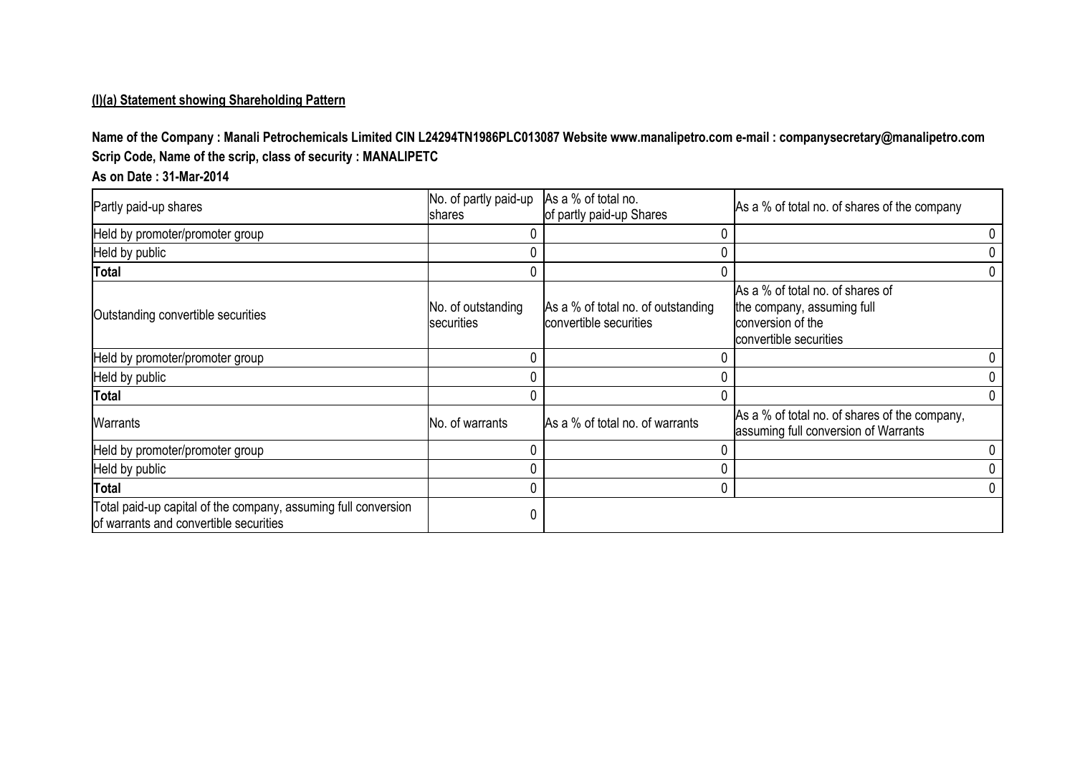#### **(I)(a) Statement showing Shareholding Pattern**

**Name of the Company : Manali Petrochemicals Limited CIN L24294TN1986PLC013087 Website www.manalipetro.com e-mail : companysecretary@manalipetro.com Scrip Code, Name of the scrip, class of security : MANALIPETC**

## **As on Date : 31-Mar-2014**

| Partly paid-up shares                                                                                    | No. of partly paid-up<br><b>Ishares</b> | As a % of total no.<br>of partly paid-up Shares              | As a % of total no. of shares of the company                                                                  |   |
|----------------------------------------------------------------------------------------------------------|-----------------------------------------|--------------------------------------------------------------|---------------------------------------------------------------------------------------------------------------|---|
| Held by promoter/promoter group                                                                          |                                         |                                                              |                                                                                                               |   |
| Held by public                                                                                           | 0                                       |                                                              |                                                                                                               |   |
| <b>Total</b>                                                                                             | 0                                       |                                                              |                                                                                                               |   |
| Outstanding convertible securities                                                                       | No. of outstanding<br>securities        | As a % of total no. of outstanding<br>convertible securities | As a % of total no. of shares of<br>the company, assuming full<br>conversion of the<br>convertible securities |   |
| Held by promoter/promoter group                                                                          | 0                                       |                                                              |                                                                                                               |   |
| Held by public                                                                                           | 0                                       |                                                              |                                                                                                               |   |
| <b>Total</b>                                                                                             | 0                                       |                                                              |                                                                                                               | 0 |
| Warrants                                                                                                 | No. of warrants                         | As a % of total no. of warrants                              | As a % of total no. of shares of the company,<br>assuming full conversion of Warrants                         |   |
| Held by promoter/promoter group                                                                          | 0                                       |                                                              |                                                                                                               |   |
| Held by public                                                                                           | 0                                       |                                                              |                                                                                                               |   |
| <b>Total</b>                                                                                             | 0                                       |                                                              |                                                                                                               |   |
| Total paid-up capital of the company, assuming full conversion<br>of warrants and convertible securities | 0                                       |                                                              |                                                                                                               |   |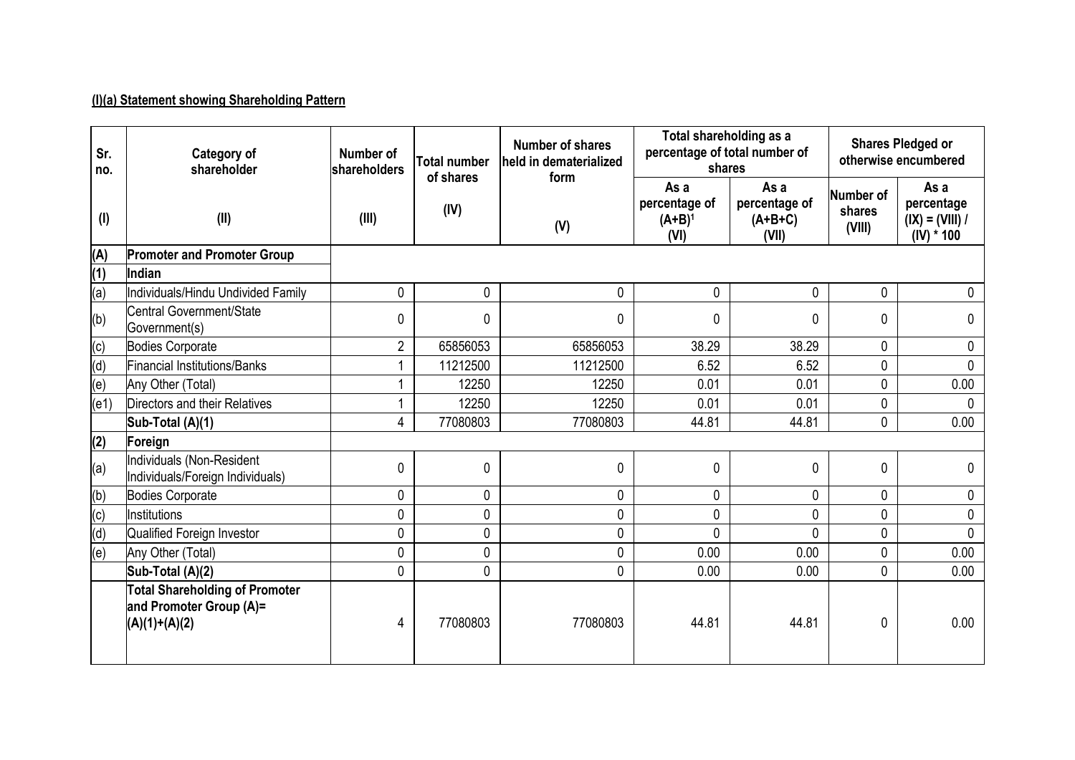# **(I)(a) Statement showing Shareholding Pattern**

| Sr.<br>no. | <b>Category of</b><br>shareholder                                                   | Number of<br><b>shareholders</b> | <b>Total number</b><br>of shares | <b>Number of shares</b><br>held in dematerialized<br>form | Total shareholding as a<br>percentage of total number of<br>shares |                                             |                               | <b>Shares Pledged or</b><br>otherwise encumbered        |
|------------|-------------------------------------------------------------------------------------|----------------------------------|----------------------------------|-----------------------------------------------------------|--------------------------------------------------------------------|---------------------------------------------|-------------------------------|---------------------------------------------------------|
| (1)        | (II)                                                                                | (IV)<br>(III)<br>(V)             |                                  |                                                           | As a<br>percentage of<br>$(A+B)^1$<br>(VI)                         | As a<br>percentage of<br>$(A+B+C)$<br>(VII) | Number of<br>shares<br>(VIII) | As a<br>percentage<br>$(IX) = (VIII) /$<br>$(IV) * 100$ |
| (A)        | <b>Promoter and Promoter Group</b>                                                  |                                  |                                  |                                                           |                                                                    |                                             |                               |                                                         |
| (1)        | Indian                                                                              |                                  |                                  |                                                           |                                                                    |                                             |                               |                                                         |
| (a)        | Individuals/Hindu Undivided Family                                                  | 0                                | $\mathbf 0$                      | 0                                                         | $\mathbf 0$                                                        | 0                                           | $\mathbf 0$                   | $\mathbf 0$                                             |
| (b)        | Central Government/State<br>Government(s)                                           | 0                                | $\mathbf{0}$                     | $\mathbf{0}$                                              | $\mathbf{0}$                                                       | $\Omega$                                    | 0                             | $\Omega$                                                |
| (c)        | Bodies Corporate                                                                    | $\overline{2}$                   | 65856053                         | 65856053                                                  | 38.29                                                              | 38.29                                       | 0                             | 0                                                       |
| (d)        | <b>Financial Institutions/Banks</b>                                                 | 1                                | 11212500                         | 11212500                                                  | 6.52                                                               | 6.52                                        | 0                             | $\mathbf{0}$                                            |
| (e)        | Any Other (Total)                                                                   | 1                                | 12250                            | 12250                                                     | 0.01                                                               | 0.01                                        | 0                             | 0.00                                                    |
| (e1)       | Directors and their Relatives                                                       | 1                                | 12250                            | 12250                                                     | 0.01                                                               | 0.01                                        | 0                             | $\Omega$                                                |
|            | Sub-Total (A)(1)                                                                    | 4                                | 77080803                         | 77080803                                                  | 44.81                                                              | 44.81                                       | 0                             | 0.00                                                    |
| (2)        | Foreign                                                                             |                                  |                                  |                                                           |                                                                    |                                             |                               |                                                         |
| (a)        | <b>Individuals (Non-Resident</b><br>Individuals/Foreign Individuals)                | 0                                | 0                                | 0                                                         | 0                                                                  | 0                                           | 0                             | 0                                                       |
| (b)        | Bodies Corporate                                                                    | 0                                | 0                                | 0                                                         | 0                                                                  | 0                                           | 0                             | 0                                                       |
| (c)        | <b>Institutions</b>                                                                 | 0                                | 0                                | 0                                                         | $\mathbf 0$                                                        | $\mathbf{0}$                                | 0                             | 0                                                       |
| (d)        | Qualified Foreign Investor                                                          | 0                                | 0                                | 0                                                         | $\mathbf{0}$                                                       | $\Omega$                                    | 0                             | $\Omega$                                                |
| (e)        | Any Other (Total)                                                                   | 0                                | 0                                | 0                                                         | 0.00                                                               | 0.00                                        | 0                             | 0.00                                                    |
|            | Sub-Total (A)(2)                                                                    | 0                                | 0                                | 0                                                         | 0.00                                                               | 0.00                                        | 0                             | 0.00                                                    |
|            | <b>Total Shareholding of Promoter</b><br>and Promoter Group (A)=<br>$(A)(1)+(A)(2)$ | 4                                | 77080803                         | 77080803                                                  | 44.81                                                              | 44.81                                       | 0                             | 0.00                                                    |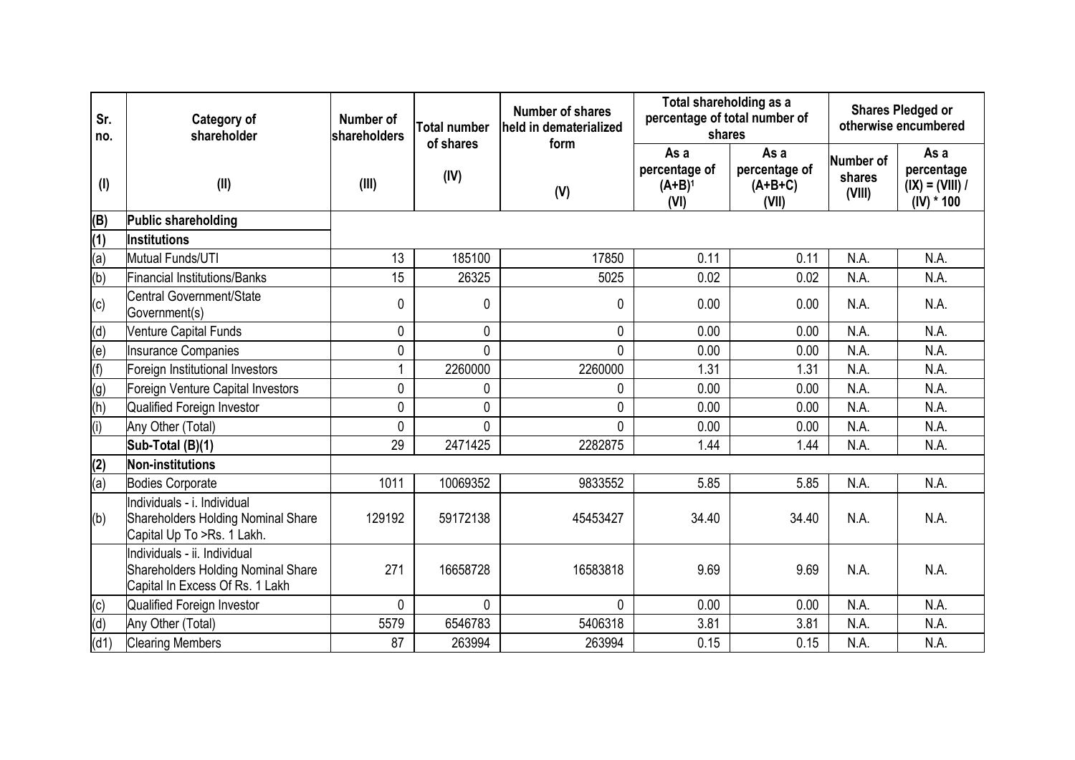| Sr.<br>no. | Category of<br>shareholder                                                                            | Number of<br>shareholders | <b>Total number</b><br>of shares | Number of shares<br>held in dematerialized<br>form | Total shareholding as a<br>percentage of total number of<br>shares |                                             |                               | <b>Shares Pledged or</b><br>otherwise encumbered        |
|------------|-------------------------------------------------------------------------------------------------------|---------------------------|----------------------------------|----------------------------------------------------|--------------------------------------------------------------------|---------------------------------------------|-------------------------------|---------------------------------------------------------|
| $($ l $)$  | (II)                                                                                                  | (III)                     | (IV)                             | (V)                                                | As a<br>percentage of<br>$(A+B)^1$<br>(VI)                         | As a<br>percentage of<br>$(A+B+C)$<br>(VII) | Number of<br>shares<br>(VIII) | As a<br>percentage<br>$(IX) = (VIII) /$<br>$(IV) * 100$ |
| (B)        | Public shareholding                                                                                   |                           |                                  |                                                    |                                                                    |                                             |                               |                                                         |
| (1)        | <b>Institutions</b>                                                                                   |                           |                                  |                                                    |                                                                    |                                             |                               |                                                         |
| (a)        | Mutual Funds/UTI                                                                                      | 13                        | 185100                           | 17850                                              | 0.11                                                               | 0.11                                        | N.A.                          | N.A.                                                    |
| (b)        | <b>Financial Institutions/Banks</b>                                                                   | 15                        | 26325                            | 5025                                               | 0.02                                                               | 0.02                                        | N.A.                          | N.A.                                                    |
| (c)        | Central Government/State<br>Government(s)                                                             | 0                         | 0                                | $\mathbf 0$                                        | 0.00                                                               | 0.00                                        | N.A.                          | N.A.                                                    |
| (d)        | <b>Venture Capital Funds</b>                                                                          | 0                         | 0                                | $\pmb{0}$                                          | 0.00                                                               | 0.00                                        | N.A.                          | N.A.                                                    |
| (e)        | <b>Insurance Companies</b>                                                                            | 0                         | 0                                | $\mathbf 0$                                        | 0.00                                                               | 0.00                                        | N.A.                          | N.A.                                                    |
| (f)        | Foreign Institutional Investors                                                                       | 1                         | 2260000                          | 2260000                                            | 1.31                                                               | 1.31                                        | N.A.                          | N.A.                                                    |
| (g)        | Foreign Venture Capital Investors                                                                     | 0                         | 0                                | 0                                                  | 0.00                                                               | 0.00                                        | N.A.                          | N.A.                                                    |
| (h)        | <b>Qualified Foreign Investor</b>                                                                     | 0                         | 0                                | $\pmb{0}$                                          | 0.00                                                               | 0.00                                        | N.A.                          | N.A.                                                    |
| (i)        | Any Other (Total)                                                                                     | 0                         | 0                                | 0                                                  | 0.00                                                               | 0.00                                        | N.A.                          | N.A.                                                    |
|            | Sub-Total (B)(1)                                                                                      | 29                        | 2471425                          | 2282875                                            | 1.44                                                               | 1.44                                        | N.A.                          | N.A.                                                    |
| (2)        | Non-institutions                                                                                      |                           |                                  |                                                    |                                                                    |                                             |                               |                                                         |
| (a)        | Bodies Corporate                                                                                      | 1011                      | 10069352                         | 9833552                                            | 5.85                                                               | 5.85                                        | N.A.                          | N.A.                                                    |
| (b)        | Individuals - i. Individual<br>Shareholders Holding Nominal Share<br>Capital Up To >Rs. 1 Lakh.       | 129192                    | 59172138                         | 45453427                                           | 34.40                                                              | 34.40                                       | N.A.                          | N.A.                                                    |
|            | Individuals - ii. Individual<br>Shareholders Holding Nominal Share<br>Capital In Excess Of Rs. 1 Lakh | 271                       | 16658728                         | 16583818                                           | 9.69                                                               | 9.69                                        | N.A.                          | N.A.                                                    |
| (c)        | Qualified Foreign Investor                                                                            | 0                         | 0                                | $\mathbf{0}$                                       | 0.00                                                               | 0.00                                        | N.A.                          | N.A.                                                    |
| (d)        | Any Other (Total)                                                                                     | 5579                      | 6546783                          | 5406318                                            | 3.81                                                               | 3.81                                        | N.A.                          | N.A.                                                    |
| (d1)       | <b>Clearing Members</b>                                                                               | 87                        | 263994                           | 263994                                             | 0.15                                                               | 0.15                                        | N.A.                          | N.A.                                                    |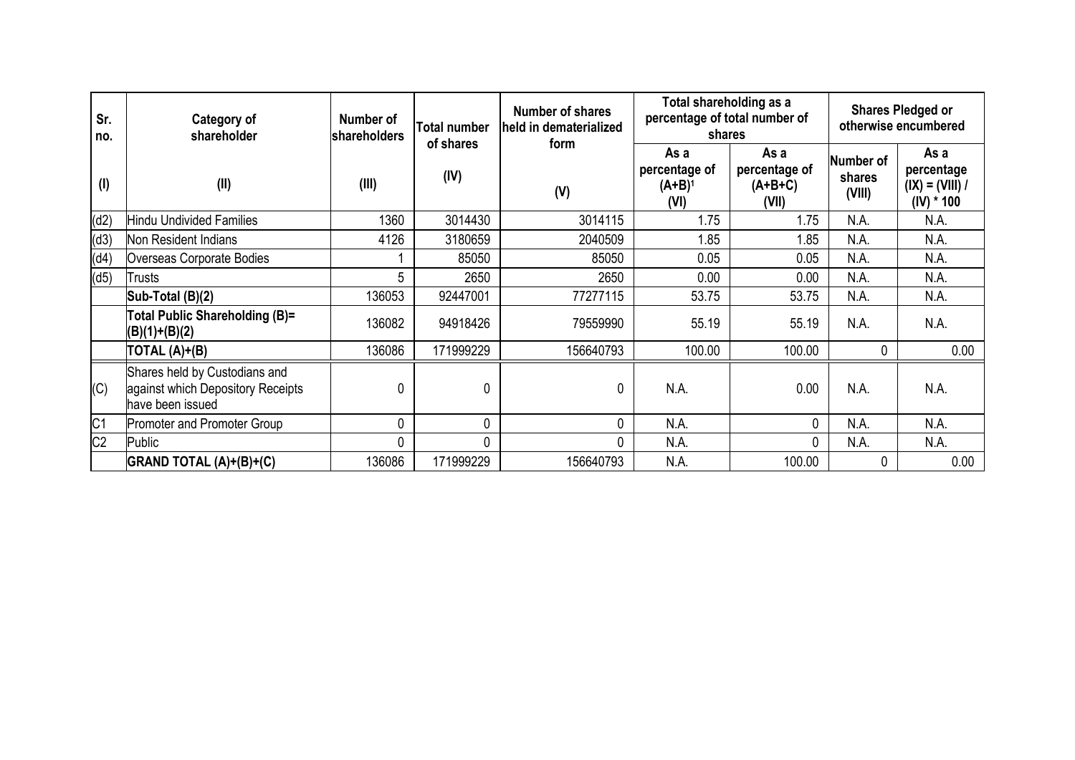| Sr.<br>no.     | Category of<br>shareholder                                                             | Number of<br>shareholders | Total number<br>of shares | <b>Number of shares</b><br>held in dematerialized | Total shareholding as a<br>percentage of total number of<br>shares |                                             |                               | <b>Shares Pledged or</b><br>otherwise encumbered        |  |  |
|----------------|----------------------------------------------------------------------------------------|---------------------------|---------------------------|---------------------------------------------------|--------------------------------------------------------------------|---------------------------------------------|-------------------------------|---------------------------------------------------------|--|--|
| (1)            | (II)                                                                                   | (III)                     | (IV)                      | form<br>(V)                                       | As a<br>percentage of<br>$(A+B)^1$<br>(VI)                         | As a<br>percentage of<br>$(A+B+C)$<br>(VII) | Number of<br>shares<br>(VIII) | As a<br>percentage<br>$(IX) = (VIII) /$<br>$(IV) * 100$ |  |  |
| (d2)           | <b>Hindu Undivided Families</b>                                                        | 1360                      | 3014430                   | 3014115                                           | 1.75                                                               | 1.75                                        | N.A.                          | N.A.                                                    |  |  |
| (d3)           | Non Resident Indians                                                                   | 4126                      | 3180659                   | 2040509                                           | 1.85                                                               | 1.85                                        | N.A.                          | N.A.                                                    |  |  |
| (d4)           | Overseas Corporate Bodies                                                              |                           | 85050                     | 85050                                             | 0.05                                                               | 0.05                                        | N.A.                          | N.A.                                                    |  |  |
| (d5)           | Trusts                                                                                 | 5                         | 2650                      | 2650                                              | 0.00                                                               | 0.00                                        | N.A.                          | N.A.                                                    |  |  |
|                | Sub-Total (B)(2)                                                                       | 136053                    | 92447001                  | 77277115                                          | 53.75                                                              | 53.75                                       | N.A.                          | N.A.                                                    |  |  |
|                | Total Public Shareholding (B)=<br>$(B)(1)+(B)(2)$                                      | 136082                    | 94918426                  | 79559990                                          | 55.19                                                              | 55.19                                       | N.A.                          | N.A.                                                    |  |  |
|                | TOTAL (A)+(B)                                                                          | 136086                    | 171999229                 | 156640793                                         | 100.00                                                             | 100.00                                      | 0                             | 0.00                                                    |  |  |
| (C)            | Shares held by Custodians and<br>against which Depository Receipts<br>have been issued | 0                         | 0                         | 0                                                 | N.A.                                                               | 0.00                                        | N.A.                          | N.A.                                                    |  |  |
| C <sub>1</sub> | <b>Promoter and Promoter Group</b>                                                     | 0                         | 0                         | 0                                                 | N.A.                                                               | 0                                           | N.A.                          | N.A.                                                    |  |  |
| C <sub>2</sub> | Public                                                                                 | 0                         | 0                         | 0                                                 | N.A.                                                               | $\mathbf{0}$                                | N.A.                          | N.A.                                                    |  |  |
|                | GRAND TOTAL (A)+(B)+(C)                                                                | 136086                    | 171999229                 | 156640793                                         | N.A.                                                               | 100.00                                      | 0                             | 0.00                                                    |  |  |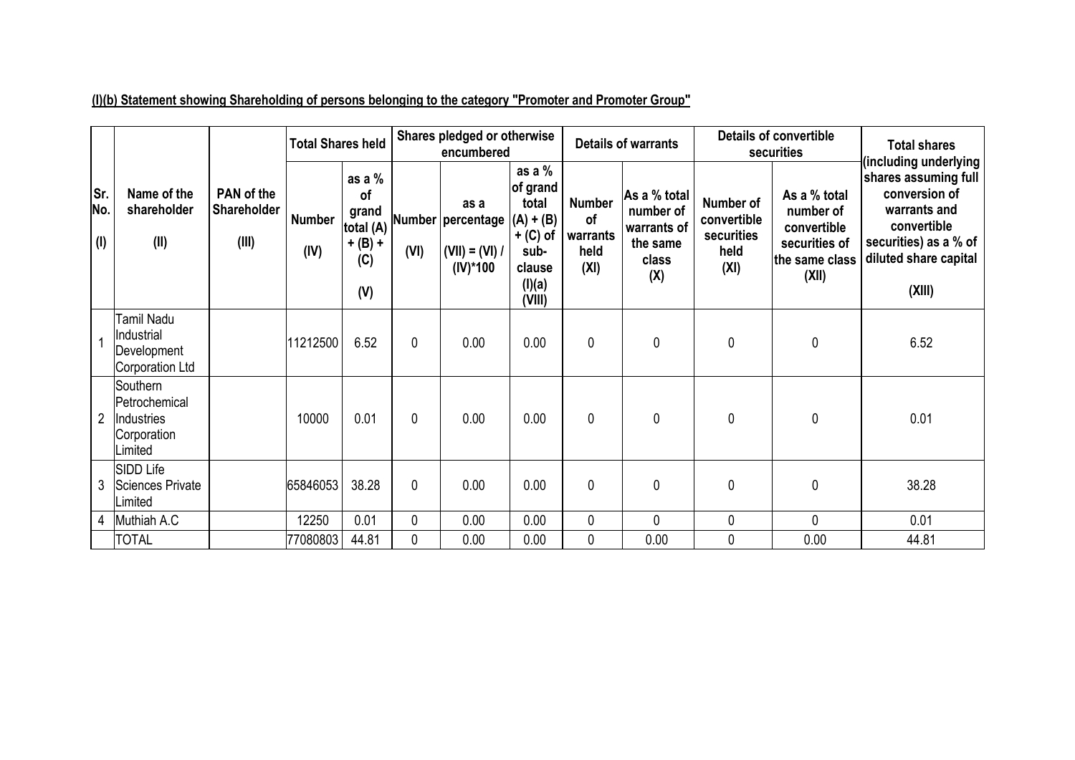|                   |                                                                          |                                    | <b>Total Shares held</b> |                                                                 | Shares pledged or otherwise<br>encumbered |                                                              |                                                                                                  |                                                 | <b>Details of warrants</b>                                           |                                                        | <b>Details of convertible</b><br>securities                                          | <b>Total shares</b>                                                                                                                                       |
|-------------------|--------------------------------------------------------------------------|------------------------------------|--------------------------|-----------------------------------------------------------------|-------------------------------------------|--------------------------------------------------------------|--------------------------------------------------------------------------------------------------|-------------------------------------------------|----------------------------------------------------------------------|--------------------------------------------------------|--------------------------------------------------------------------------------------|-----------------------------------------------------------------------------------------------------------------------------------------------------------|
| Sr.<br>No.<br>(1) | Name of the<br>shareholder<br>(II)                                       | PAN of the<br>Shareholder<br>(III) | <b>Number</b><br>(IV)    | as a $%$<br>of<br>grand<br>total (A)<br>$+ (B) +$<br>(C)<br>(V) | (VI)                                      | as a<br>Number percentage<br>$(VII) = (VI) /$<br>$(IV)^*100$ | as a $%$<br>of grand<br>total<br>$(A) + (B)$<br>$+$ (C) of<br>sub-<br>clause<br>(I)(a)<br>(VIII) | <b>Number</b><br>of<br>warrants<br>held<br>(XI) | As a % total<br>number of<br>warrants of<br>the same<br>class<br>(X) | Number of<br>convertible<br>securities<br>held<br>(XI) | As a % total<br>number of<br>convertible<br>securities of<br>the same class<br>(XII) | including underlying)<br>shares assuming full<br>conversion of<br>warrants and<br>convertible<br>securities) as a % of<br>diluted share capital<br>(XIII) |
|                   | Tamil Nadu<br>Industrial<br>Development<br>Corporation Ltd               |                                    | 11212500                 | 6.52                                                            | $\mathbf{0}$                              | 0.00                                                         | 0.00                                                                                             | 0                                               | $\mathbf 0$                                                          | $\mathbf{0}$                                           | $\mathbf 0$                                                                          | 6.52                                                                                                                                                      |
| $\overline{2}$    | <b>Southern</b><br>Petrochemical<br>Industries<br>Corporation<br>Limited |                                    | 10000                    | 0.01                                                            | 0                                         | 0.00                                                         | 0.00                                                                                             | 0                                               | 0                                                                    | $\mathbf 0$                                            | $\mathbf 0$                                                                          | 0.01                                                                                                                                                      |
| 3                 | SIDD Life<br>Sciences Private<br>Limited                                 |                                    | 65846053                 | 38.28                                                           | $\mathbf{0}$                              | 0.00                                                         | 0.00                                                                                             | 0                                               | $\pmb{0}$                                                            | $\mathbf 0$                                            | $\mathbf 0$                                                                          | 38.28                                                                                                                                                     |
|                   | 4 Muthiah A.C                                                            |                                    | 12250                    | 0.01                                                            | 0                                         | 0.00                                                         | 0.00                                                                                             | 0                                               | $\mathbf 0$                                                          | $\mathbf 0$                                            | $\mathbf 0$                                                                          | 0.01                                                                                                                                                      |
|                   | <b>TOTAL</b>                                                             |                                    | 77080803                 | 44.81                                                           | 0                                         | 0.00                                                         | 0.00                                                                                             | 0                                               | 0.00                                                                 | $\pmb{0}$                                              | 0.00                                                                                 | 44.81                                                                                                                                                     |

**(I)(b) Statement showing Shareholding of persons belonging to the category "Promoter and Promoter Group"**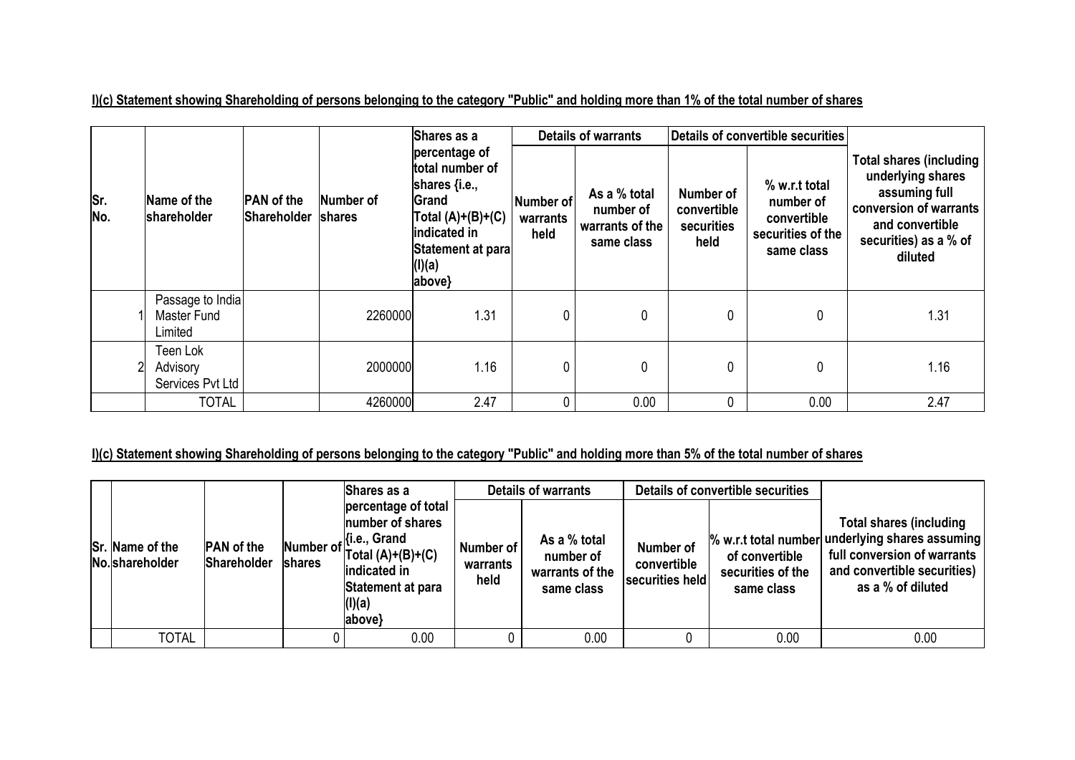**I)(c) Statement showing Shareholding of persons belonging to the category "Public" and holding more than 1% of the total number of shares**

|             |                                            |                                                                |         | Shares as a                                                                                                                                           |                               | <b>Details of warrants</b>                                 |                                                | <b>Details of convertible securities</b>                                     |                                                                                                                                                       |
|-------------|--------------------------------------------|----------------------------------------------------------------|---------|-------------------------------------------------------------------------------------------------------------------------------------------------------|-------------------------------|------------------------------------------------------------|------------------------------------------------|------------------------------------------------------------------------------|-------------------------------------------------------------------------------------------------------------------------------------------------------|
| lSr.<br>No. | Name of the<br>shareholder                 | <b>PAN</b> of the<br>Number of<br><b>Shareholder</b><br>shares |         | percentage of<br>total number of<br>shares $\{i.e.,\}$<br>Grand<br>$\vert$ Total (A)+(B)+(C)<br>indicated in<br>Statement at para<br>(I)(a)<br>above} | Number of<br>warrants<br>held | As a % total<br>number of<br>warrants of the<br>same class | Number of<br>convertible<br>securities<br>held | % w.r.t total<br>number of<br>convertible<br>securities of the<br>same class | <b>Total shares (including</b><br>underlying shares<br>assuming full<br>conversion of warrants<br>and convertible<br>securities) as a % of<br>diluted |
|             | Passage to India<br>Master Fund<br>Limited |                                                                | 2260000 | 1.31                                                                                                                                                  | 0                             | 0                                                          | 0                                              | 0                                                                            | 1.31                                                                                                                                                  |
|             | Teen Lok<br>Advisory<br>Services Pvt Ltd   |                                                                | 2000000 | 1.16                                                                                                                                                  | 0                             | 0                                                          | 0                                              | 0                                                                            | 1.16                                                                                                                                                  |
|             | <b>TOTAL</b>                               |                                                                | 4260000 | 2.47                                                                                                                                                  | 0                             | 0.00                                                       | $\mathbf{0}$                                   | 0.00                                                                         | 2.47                                                                                                                                                  |

# **I)(c) Statement showing Shareholding of persons belonging to the category "Public" and holding more than 5% of the total number of shares**

|                                    |                                  |        | Shares as a                                                                                                                                       |                               | <b>Details of warrants</b>                                 |                                             | Details of convertible securities                 |                                                                                                                                                                      |
|------------------------------------|----------------------------------|--------|---------------------------------------------------------------------------------------------------------------------------------------------------|-------------------------------|------------------------------------------------------------|---------------------------------------------|---------------------------------------------------|----------------------------------------------------------------------------------------------------------------------------------------------------------------------|
| Sr. Name of the<br>No. shareholder | <b>PAN</b> of the<br>Shareholder | shares | percentage of total<br>number of shares<br>Number of [i.e., Grand<br>$Total (A)+(B)+(C)$<br>indicated in<br>Statement at para<br>(I)(a)<br>above} | Number of<br>warrants<br>held | As a % total<br>number of<br>warrants of the<br>same class | Number of<br>convertible<br>securities held | of convertible<br>securities of the<br>same class | <b>Total shares (including</b><br>% w.r.t total number underlying shares assuming<br>full conversion of warrants<br>and convertible securities)<br>as a % of diluted |
| <b>TOTAL</b>                       |                                  |        | 0.00                                                                                                                                              |                               | 0.00                                                       |                                             | 0.00                                              | 0.00                                                                                                                                                                 |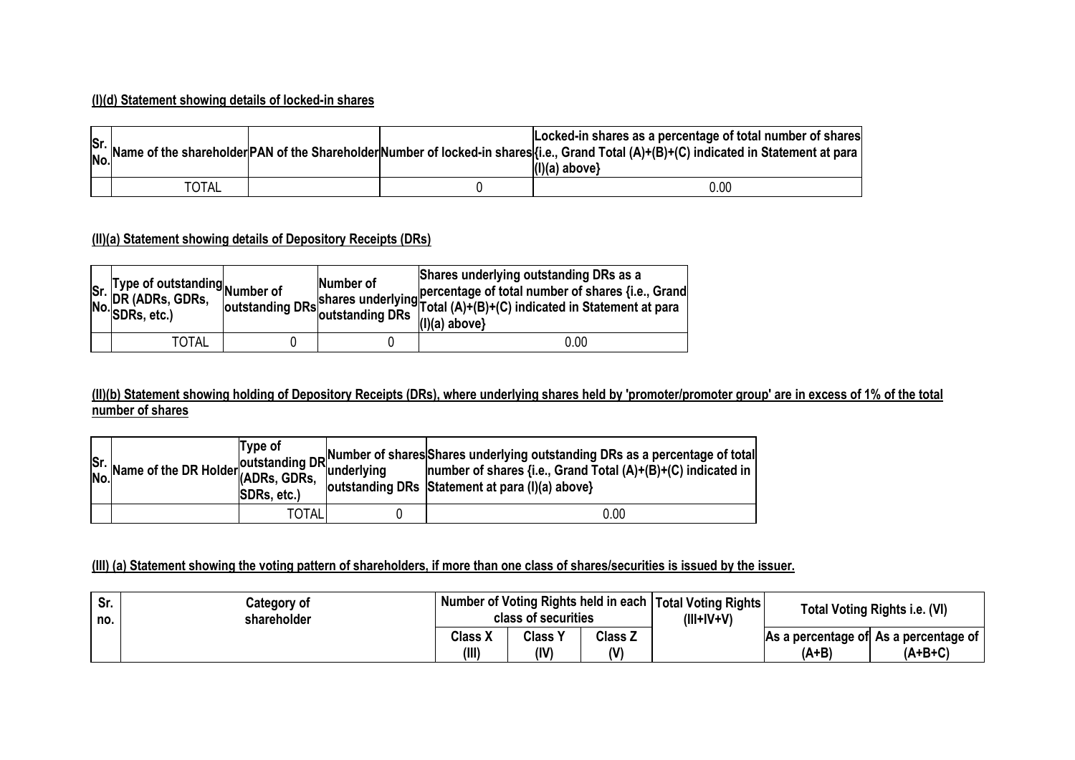#### **(I)(d) Statement showing details of locked-in shares**

|              |  | Locked-in shares as a percentage of total number of shares<br>Sr. Name of the shareholder PAN of the Shareholder Number of locked-in shares (i.e., Grand Total (A)+(B)+(C) indicated in Statement at para<br>$(1)(a)$ above} |
|--------------|--|------------------------------------------------------------------------------------------------------------------------------------------------------------------------------------------------------------------------------|
| <b>TOTAL</b> |  | 0.00                                                                                                                                                                                                                         |

## **(II)(a) Statement showing details of Depository Receipts (DRs)**

| Sr. Type of outstanding<br>No. DR (ADRs, GDRs, outstanding<br>No. SDRs, etc.) | Number of | Shares underlying outstanding DRs as a<br>International Schwarz of Shares underlying<br>  Total (A)+(B)+(C) indicated in Statement at para<br>$(1)(a)$ above} |
|-------------------------------------------------------------------------------|-----------|---------------------------------------------------------------------------------------------------------------------------------------------------------------|
| <b>TOTAL</b>                                                                  |           | 0.00                                                                                                                                                          |

#### **(II)(b) Statement showing holding of Depository Receipts (DRs), where underlying shares held by 'promoter/promoter group' are in excess of 1% of the total number of shares**

|  | Type of<br>SDRs, etc.) | $\begin{vmatrix} 1 & y & 0 \\ 0 & 1 & 0 \\ 0 & 0 & 0 \end{vmatrix}$ (ADRs, GDRs, and a low the UR Holder (ADRs, GDRs) and the UR substanding DRs as a percentage of total<br>No. Name of the DR Holder (ADRs, GDRs, underlying and the statement of shares {<br>outstanding DRs Statement at para (I)(a) above} |
|--|------------------------|-----------------------------------------------------------------------------------------------------------------------------------------------------------------------------------------------------------------------------------------------------------------------------------------------------------------|
|  | <b>TOTAL</b>           | 0.00                                                                                                                                                                                                                                                                                                            |

#### **(III) (a) Statement showing the voting pattern of shareholders, if more than one class of shares/securities is issued by the issuer.**

| Sr.<br>no. | Category of<br>shareholder | Number of Voting Rights held in each   Total Voting Rights  <br>class of securities |                        |                      | $(III+IV+V)$ |       | Total Voting Rights i.e. (VI)                      |
|------------|----------------------------|-------------------------------------------------------------------------------------|------------------------|----------------------|--------------|-------|----------------------------------------------------|
|            |                            | <b>Class X</b><br>(III)                                                             | <b>Class Y</b><br>(IV) | <b>Class Z</b><br>(V |              | (A+B) | As a percentage of As a percentage of<br>$(A+B+C)$ |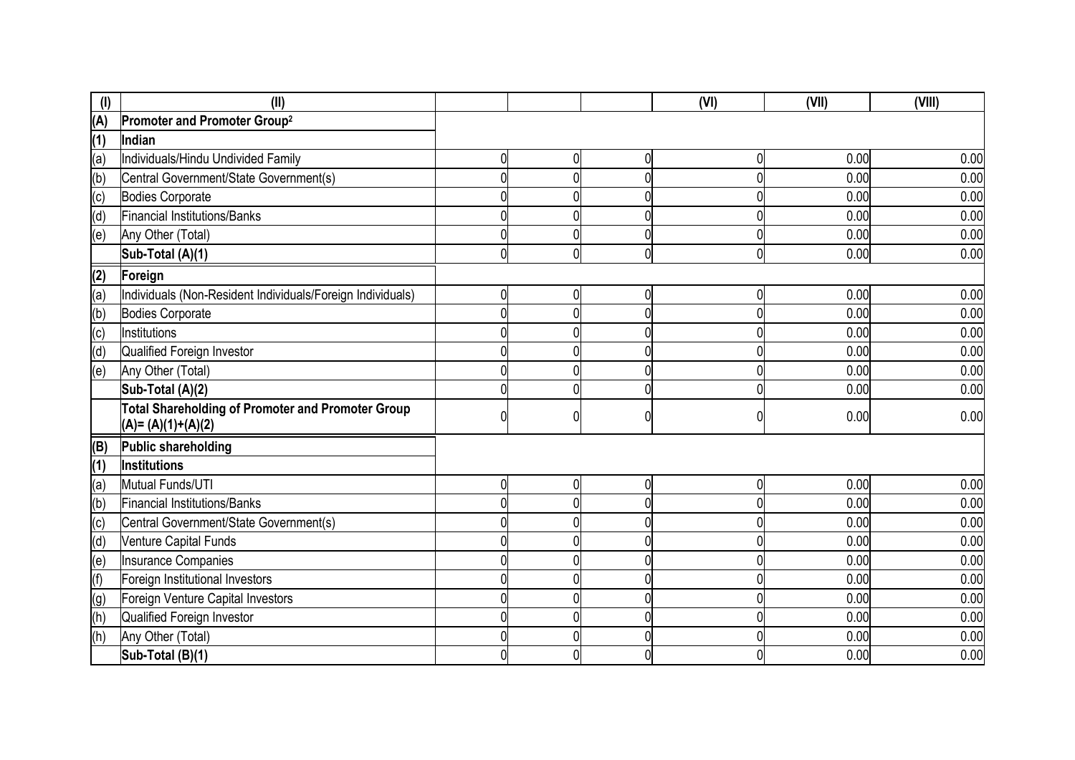| $($ l $)$      | (II)                                                                            |                |                |             | (VI) | (VII) | (VIII) |
|----------------|---------------------------------------------------------------------------------|----------------|----------------|-------------|------|-------|--------|
| (A)            | Promoter and Promoter Group <sup>2</sup>                                        |                |                |             |      |       |        |
| (1)            | Indian                                                                          |                |                |             |      |       |        |
| (a)            | Individuals/Hindu Undivided Family                                              | 0              | 0              | 0           |      | 0.00  | 0.00   |
| (b)            | Central Government/State Government(s)                                          | $\overline{0}$ | 0              | 0           |      | 0.00  | 0.00   |
| (c)            | <b>Bodies Corporate</b>                                                         | 0              | 0              | 0           |      | 0.00  | 0.00   |
| (d)            | Financial Institutions/Banks                                                    | 0              | 0              | 0           |      | 0.00  | 0.00   |
| (e)            | Any Other (Total)                                                               | 0              | 0              | 0           |      | 0.00  | 0.00   |
|                | Sub-Total (A)(1)                                                                | 0              | $\overline{0}$ | $\mathbf 0$ | ሰ    | 0.00  | 0.00   |
| (2)            | Foreign                                                                         |                |                |             |      |       |        |
| (a)            | Individuals (Non-Resident Individuals/Foreign Individuals)                      | 0              | 0              | 0           |      | 0.00  | 0.00   |
| (b)            | <b>Bodies Corporate</b>                                                         | $\overline{0}$ | $\mathbf{0}$   | 0           |      | 0.00  | 0.00   |
| $\overline{c}$ | Institutions                                                                    | 0              | 0              |             |      | 0.00  | 0.00   |
| (d)            | Qualified Foreign Investor                                                      | 0              | 0              | 0           |      | 0.00  | 0.00   |
| (e)            | Any Other (Total)                                                               | $\Omega$       | $\mathbf{0}$   | 0           |      | 0.00  | 0.00   |
|                | Sub-Total (A)(2)                                                                | 0              | 0              | 0           |      | 0.00  | 0.00   |
|                | <b>Total Shareholding of Promoter and Promoter Group</b><br>$(A)=(A)(1)+(A)(2)$ | 0              | 0              | 0           |      | 0.00  | 0.00   |
| (B)            | Public shareholding                                                             |                |                |             |      |       |        |
| (1)            | Institutions                                                                    |                |                |             |      |       |        |
| (a)            | Mutual Funds/UTI                                                                | 0              | $\overline{0}$ | $\mathbf 0$ | ሰ    | 0.00  | 0.00   |
| (b)            | Financial Institutions/Banks                                                    | 0              | 0              | 0           |      | 0.00  | 0.00   |
| $\overline{c}$ | Central Government/State Government(s)                                          | 0              | 0              | 0           |      | 0.00  | 0.00   |
| (d)            | <b>Venture Capital Funds</b>                                                    | 0              | 0              | 0           |      | 0.00  | 0.00   |
| (e)            | <b>Insurance Companies</b>                                                      | 0              | 0              | 0           |      | 0.00  | 0.00   |
| (f)            | Foreign Institutional Investors                                                 |                | 0              |             |      | 0.00  | 0.00   |
| (g)            | Foreign Venture Capital Investors                                               | 0              | 0              | 0           |      | 0.00  | 0.00   |
| (h)            | Qualified Foreign Investor                                                      | 0              | 0              | 0           |      | 0.00  | 0.00   |
| (h)            | Any Other (Total)                                                               | $\Omega$       | 0              | 0           |      | 0.00  | 0.00   |
|                | Sub-Total (B)(1)                                                                | 0              | 0              | 0           |      | 0.00  | 0.00   |